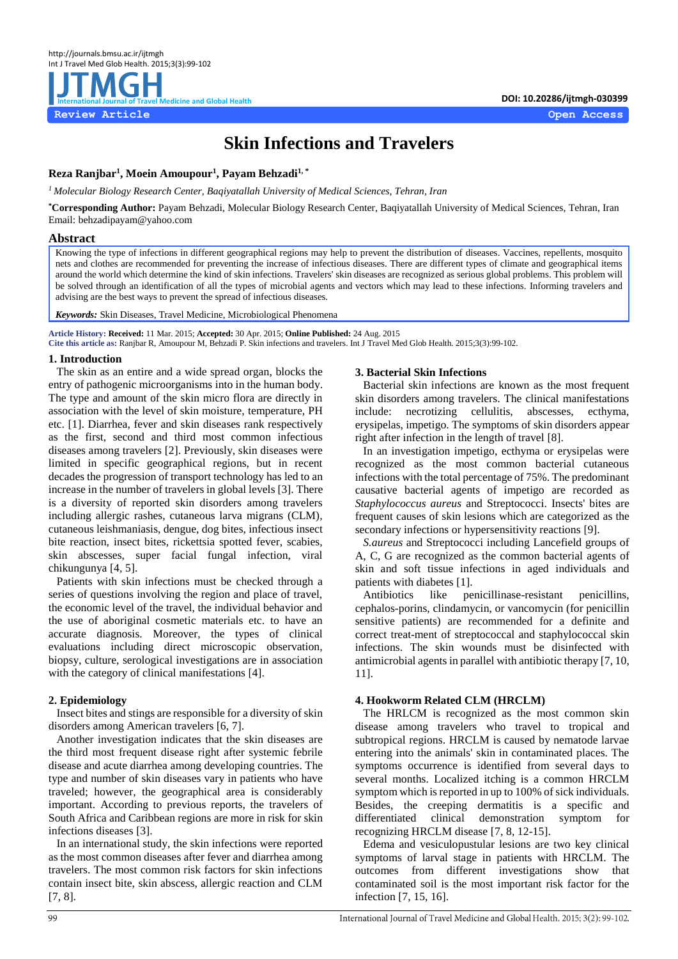

# **Skin Infections and Travelers**

# **Reza Ranjbar<sup>1</sup> , Moein Amoupour<sup>1</sup> , Payam Behzadi1, \***

*<sup>1</sup>Molecular Biology Research Center, Baqiyatallah University of Medical Sciences, Tehran, Iran*

**\*Corresponding Author:** Payam Behzadi, Molecular Biology Research Center, Baqiyatallah University of Medical Sciences, Tehran, Iran Email: behzadipayam@yahoo.com

#### **Abstract**

Knowing the type of infections in different geographical regions may help to prevent the distribution of diseases. Vaccines, repellents, mosquito nets and clothes are recommended for preventing the increase of infectious diseases. There are different types of climate and geographical items around the world which determine the kind of skin infections. Travelers' skin diseases are recognized as serious global problems. This problem will be solved through an identification of all the types of microbial agents and vectors which may lead to these infections. Informing travelers and advising are the best ways to prevent the spread of infectious diseases.

*Keywords:* Skin Diseases, Travel Medicine, Microbiological Phenomena

**Article History: Received:** 11 Mar. 2015; **Accepted:** 30 Apr. 2015; **Online Published:** 24 Aug. 2015 **Cite this article as:** Ranjbar R, Amoupour M, Behzadi P. Skin infections and travelers. Int J Travel Med Glob Health. 2015;3(3):99-102.

# **1. Introduction**

The skin as an entire and a wide spread organ, blocks the entry of pathogenic microorganisms into in the human body. The type and amount of the skin micro flora are directly in association with the level of skin moisture, temperature, PH etc. [\[1\]](#page-3-0). Diarrhea, fever and skin diseases rank respectively as the first, second and third most common infectious diseases among travelers [\[2\]](#page-3-1). Previously, skin diseases were limited in specific geographical regions, but in recent decades the progression of transport technology has led to an increase in the number of travelers in global levels [\[3\]](#page-3-2). There is a diversity of reported skin disorders among travelers including allergic rashes, cutaneous larva migrans (CLM), cutaneous leishmaniasis, dengue, dog bites, infectious insect bite reaction, insect bites, rickettsia spotted fever, scabies, skin abscesses, super facial fungal infection, viral chikungunya [\[4,](#page-3-3) [5\]](#page-3-4).

Patients with skin infections must be checked through a series of questions involving the region and place of travel, the economic level of the travel, the individual behavior and the use of aboriginal cosmetic materials etc. to have an accurate diagnosis. Moreover, the types of clinical evaluations including direct microscopic observation, biopsy, culture, serological investigations are in association with the category of clinical manifestations [\[4\]](#page-3-3).

# **2. Epidemiology**

Insect bites and stings are responsible for a diversity of skin disorders among American travelers [\[6,](#page-3-5) [7\]](#page-3-6).

Another investigation indicates that the skin diseases are the third most frequent disease right after systemic febrile disease and acute diarrhea among developing countries. The type and number of skin diseases vary in patients who have traveled; however, the geographical area is considerably important. According to previous reports, the travelers of South Africa and Caribbean regions are more in risk for skin infections diseases [\[3\]](#page-3-2).

In an international study, the skin infections were reported as the most common diseases after fever and diarrhea among travelers. The most common risk factors for skin infections contain insect bite, skin abscess, allergic reaction and CLM [\[7,](#page-3-6) [8\]](#page-3-7).

# **3. Bacterial Skin Infections**

Bacterial skin infections are known as the most frequent skin disorders among travelers. The clinical manifestations include: necrotizing cellulitis, abscesses, ecthyma, erysipelas, impetigo. The symptoms of skin disorders appear right after infection in the length of travel [\[8\]](#page-3-7).

In an investigation impetigo, ecthyma or erysipelas were recognized as the most common bacterial cutaneous infections with the total percentage of 75%. The predominant causative bacterial agents of impetigo are recorded as *Staphylococcus aureus* and Streptococci. Insects' bites are frequent causes of skin lesions which are categorized as the secondary infections or hypersensitivity reactions [\[9\]](#page-3-8).

*S.aureus* and Streptococci including Lancefield groups of A, C, G are recognized as the common bacterial agents of skin and soft tissue infections in aged individuals and patients with diabetes [\[1\]](#page-3-0).

Antibiotics like penicillinase-resistant penicillins, cephalos-porins, clindamycin, or vancomycin (for penicillin sensitive patients) are recommended for a definite and correct treat-ment of streptococcal and staphylococcal skin infections. The skin wounds must be disinfected with antimicrobial agents in parallel with antibiotic therapy [\[7,](#page-3-6) [10,](#page-3-9)  [11\]](#page-3-10).

# **4. Hookworm Related CLM (HRCLM)**

The HRLCM is recognized as the most common skin disease among travelers who travel to tropical and subtropical regions. HRCLM is caused by nematode larvae entering into the animals' skin in contaminated places. The symptoms occurrence is identified from several days to several months. Localized itching is a common HRCLM symptom which is reported in up to 100% of sick individuals. Besides, the creeping dermatitis is a specific and differentiated clinical demonstration symptom for recognizing HRCLM disease [\[7,](#page-3-6) [8,](#page-3-7) [12-15\]](#page-3-11).

Edema and vesiculopustular lesions are two key clinical symptoms of larval stage in patients with HRCLM. The outcomes from different investigations show that contaminated soil is the most important risk factor for the infection [\[7,](#page-3-6) [15,](#page-3-12) [16\]](#page-3-13).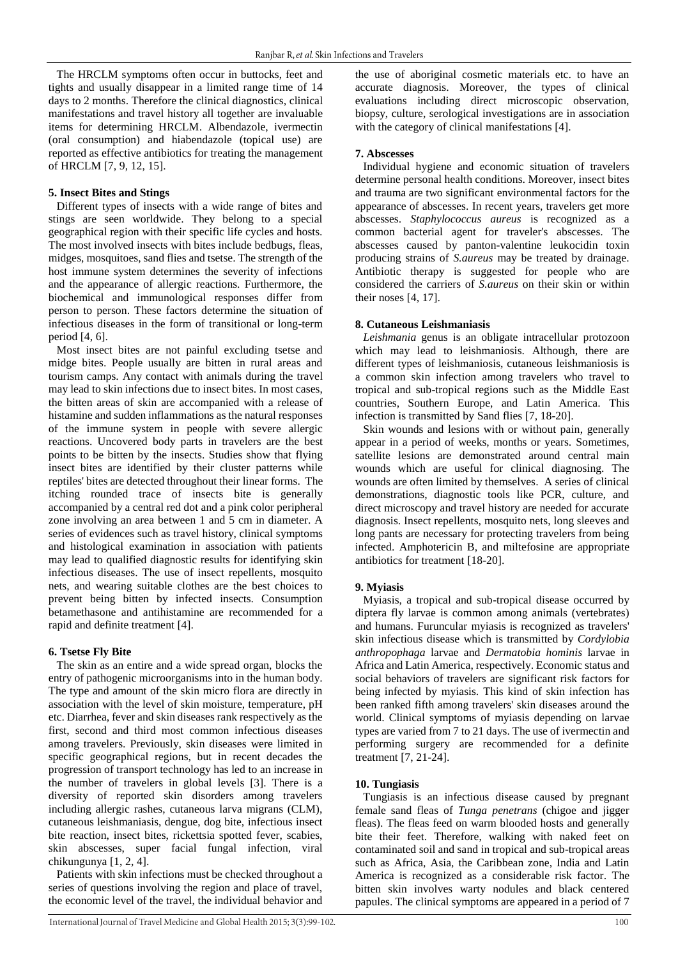The HRCLM symptoms often occur in buttocks, feet and tights and usually disappear in a limited range time of 14 days to 2 months. Therefore the clinical diagnostics, clinical manifestations and travel history all together are invaluable items for determining HRCLM. Albendazole, ivermectin (oral consumption) and hiabendazole (topical use) are reported as effective antibiotics for treating the management of HRCLM [\[7,](#page-3-6) [9,](#page-3-8) [12,](#page-3-11) [15\]](#page-3-12).

#### **5. Insect Bites and Stings**

Different types of insects with a wide range of bites and stings are seen worldwide. They belong to a special geographical region with their specific life cycles and hosts. The most involved insects with bites include bedbugs, fleas, midges, mosquitoes, sand flies and tsetse. The strength of the host immune system determines the severity of infections and the appearance of allergic reactions. Furthermore, the biochemical and immunological responses differ from person to person. These factors determine the situation of infectious diseases in the form of transitional or long-term period [\[4,](#page-3-3) [6\]](#page-3-5).

Most insect bites are not painful excluding tsetse and midge bites. People usually are bitten in rural areas and tourism camps. Any contact with animals during the travel may lead to skin infections due to insect bites. In most cases, the bitten areas of skin are accompanied with a release of histamine and sudden inflammations as the natural responses of the immune system in people with severe allergic reactions. Uncovered body parts in travelers are the best points to be bitten by the insects. Studies show that flying insect bites are identified by their cluster patterns while reptiles' bites are detected throughout their linear forms. The itching rounded trace of insects bite is generally accompanied by a central red dot and a pink color peripheral zone involving an area between 1 and 5 cm in diameter. A series of evidences such as travel history, clinical symptoms and histological examination in association with patients may lead to qualified diagnostic results for identifying skin infectious diseases. The use of insect repellents, mosquito nets, and wearing suitable clothes are the best choices to prevent being bitten by infected insects. Consumption betamethasone and antihistamine are recommended for a rapid and definite treatment [\[4\]](#page-3-3).

# **6. Tsetse Fly Bite**

The skin as an entire and a wide spread organ, blocks the entry of pathogenic microorganisms into in the human body. The type and amount of the skin micro flora are directly in association with the level of skin moisture, temperature, pH etc. Diarrhea, fever and skin diseases rank respectively as the first, second and third most common infectious diseases among travelers. Previously, skin diseases were limited in specific geographical regions, but in recent decades the progression of transport technology has led to an increase in the number of travelers in global levels [\[3\]](#page-3-2). There is a diversity of reported skin disorders among travelers including allergic rashes, cutaneous larva migrans (CLM), cutaneous leishmaniasis, dengue, dog bite, infectious insect bite reaction, insect bites, rickettsia spotted fever, scabies, skin abscesses, super facial fungal infection, viral chikungunya [\[1,](#page-3-0) [2,](#page-3-1) [4\]](#page-3-3).

Patients with skin infections must be checked throughout a series of questions involving the region and place of travel, the economic level of the travel, the individual behavior and the use of aboriginal cosmetic materials etc. to have an accurate diagnosis. Moreover, the types of clinical evaluations including direct microscopic observation, biopsy, culture, serological investigations are in association with the category of clinical manifestations [\[4\]](#page-3-3).

### **7. Abscesses**

Individual hygiene and economic situation of travelers determine personal health conditions. Moreover, insect bites and trauma are two significant environmental factors for the appearance of abscesses. In recent years, travelers get more abscesses. *Staphylococcus aureus* is recognized as a common bacterial agent for traveler's abscesses. The abscesses caused by panton-valentine leukocidin toxin producing strains of *S.aureus* may be treated by drainage. Antibiotic therapy is suggested for people who are considered the carriers of *S.aureus* on their skin or within their noses [\[4,](#page-3-3) [17\]](#page-3-14).

# **8. Cutaneous Leishmaniasis**

*Leishmania* genus is an obligate intracellular protozoon which may lead to leishmaniosis. Although, there are different types of leishmaniosis, cutaneous leishmaniosis is a common skin infection among travelers who travel to tropical and sub-tropical regions such as the Middle East countries, Southern Europe, and Latin America. This infection is transmitted by Sand flies [\[7,](#page-3-6) [18-20\]](#page-3-15).

Skin wounds and lesions with or without pain, generally appear in a period of weeks, months or years. Sometimes, satellite lesions are demonstrated around central main wounds which are useful for clinical diagnosing. The wounds are often limited by themselves. A series of clinical demonstrations, diagnostic tools like PCR, culture, and direct microscopy and travel history are needed for accurate diagnosis. Insect repellents, mosquito nets, long sleeves and long pants are necessary for protecting travelers from being infected. Amphotericin B, and miltefosine are appropriate antibiotics for treatment [\[18-20\]](#page-3-15).

# **9. Myiasis**

Myiasis, a tropical and sub-tropical disease occurred by diptera fly larvae is common among animals (vertebrates) and humans. Furuncular myiasis is recognized as travelers' skin infectious disease which is transmitted by *Cordylobia anthropophaga* larvae and *Dermatobia hominis* larvae in Africa and Latin America, respectively. Economic status and social behaviors of travelers are significant risk factors for being infected by myiasis. This kind of skin infection has been ranked fifth among travelers' skin diseases around the world. Clinical symptoms of myiasis depending on larvae types are varied from 7 to 21 days. The use of ivermectin and performing surgery are recommended for a definite treatment [\[7,](#page-3-6) [21-24\]](#page-3-16).

# **10. Tungiasis**

Tungiasis is an infectious disease caused by pregnant female sand fleas of *Tunga penetrans* (chigoe and jigger fleas). The fleas feed on warm blooded hosts and generally bite their feet. Therefore, walking with naked feet on contaminated soil and sand in tropical and sub-tropical areas such as Africa, Asia, the Caribbean zone, India and Latin America is recognized as a considerable risk factor. The bitten skin involves warty nodules and black centered papules. The clinical symptoms are appeared in a period of 7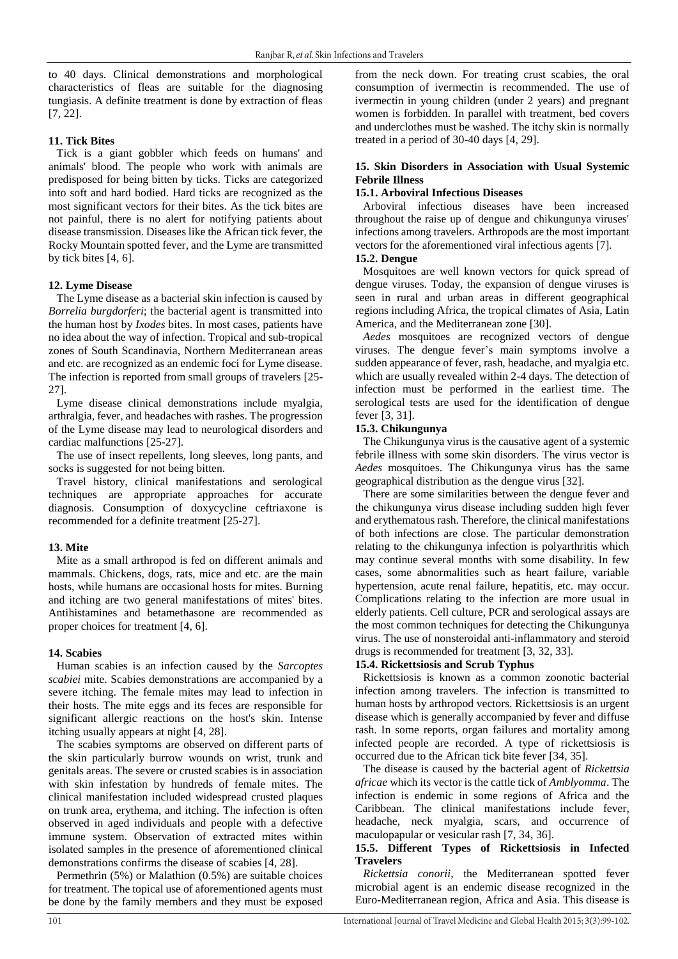to 40 days. Clinical demonstrations and morphological characteristics of fleas are suitable for the diagnosing tungiasis. A definite treatment is done by extraction of fleas [\[7,](#page-3-6) [22\]](#page-3-17).

# **11. Tick Bites**

Tick is a giant gobbler which feeds on humans' and animals' blood. The people who work with animals are predisposed for being bitten by ticks. Ticks are categorized into soft and hard bodied. Hard ticks are recognized as the most significant vectors for their bites. As the tick bites are not painful, there is no alert for notifying patients about disease transmission. Diseases like the African tick fever, the Rocky Mountain spotted fever, and the Lyme are transmitted by tick bites [\[4,](#page-3-3) [6\]](#page-3-5).

# **12. Lyme Disease**

The Lyme disease as a bacterial skin infection is caused by *Borrelia burgdorferi*; the bacterial agent is transmitted into the human host by *Ixodes* bites. In most cases, patients have no idea about the way of infection. Tropical and sub-tropical zones of South Scandinavia, Northern Mediterranean areas and etc. are recognized as an endemic foci for Lyme disease. The infection is reported from small groups of travelers [\[25-](#page-3-18) [27\]](#page-3-18).

Lyme disease clinical demonstrations include myalgia, arthralgia, fever, and headaches with rashes. The progression of the Lyme disease may lead to neurological disorders and cardiac malfunctions [\[25-27\]](#page-3-18).

The use of insect repellents, long sleeves, long pants, and socks is suggested for not being bitten.

Travel history, clinical manifestations and serological techniques are appropriate approaches for accurate diagnosis. Consumption of doxycycline ceftriaxone is recommended for a definite treatment [\[25-27\]](#page-3-18).

# **13. Mite**

Mite as a small arthropod is fed on different animals and mammals. Chickens, dogs, rats, mice and etc. are the main hosts, while humans are occasional hosts for mites. Burning and itching are two general manifestations of mites' bites. Antihistamines and betamethasone are recommended as proper choices for treatment [\[4,](#page-3-3) [6\]](#page-3-5).

# **14. Scabies**

Human scabies is an infection caused by the *Sarcoptes scabiei* mite. Scabies demonstrations are accompanied by a severe itching. The female mites may lead to infection in their hosts. The mite eggs and its feces are responsible for significant allergic reactions on the host's skin. Intense itching usually appears at night [\[4,](#page-3-3) [28\]](#page-3-19).

The scabies symptoms are observed on different parts of the skin particularly burrow wounds on wrist, trunk and genitals areas. The severe or crusted scabies is in association with skin infestation by hundreds of female mites. The clinical manifestation included widespread crusted plaques on trunk area, erythema, and itching. The infection is often observed in aged individuals and people with a defective immune system. Observation of extracted mites within isolated samples in the presence of aforementioned clinical demonstrations confirms the disease of scabies [\[4,](#page-3-3) [28\]](#page-3-19).

Permethrin (5%) or Malathion (0.5%) are suitable choices for treatment. The topical use of aforementioned agents must be done by the family members and they must be exposed

from the neck down. For treating crust scabies, the oral consumption of ivermectin is recommended. The use of ivermectin in young children (under 2 years) and pregnant women is forbidden. In parallel with treatment, bed covers and underclothes must be washed. The itchy skin is normally treated in a period of 30-40 days [\[4,](#page-3-3) [29\]](#page-3-20).

# **15. Skin Disorders in Association with Usual Systemic Febrile Illness**

# **15.1. Arboviral Infectious Diseases**

Arboviral infectious diseases have been increased throughout the raise up of dengue and chikungunya viruses' infections among travelers. Arthropods are the most important vectors for the aforementioned viral infectious agents [\[7\]](#page-3-6).

# **15.2. Dengue**

Mosquitoes are well known vectors for quick spread of dengue viruses. Today, the expansion of dengue viruses is seen in rural and urban areas in different geographical regions including Africa, the tropical climates of Asia, Latin America, and the Mediterranean zone [\[30\]](#page-3-21).

*Aedes* mosquitoes are recognized vectors of dengue viruses. The dengue fever's main symptoms involve a sudden appearance of fever, rash, headache, and myalgia etc. which are usually revealed within 2-4 days. The detection of infection must be performed in the earliest time. The serological tests are used for the identification of dengue fever [\[3,](#page-3-2) [31\]](#page-3-22).

# **15.3. Chikungunya**

The Chikungunya virus is the causative agent of a systemic febrile illness with some skin disorders. The virus vector is *Aedes* mosquitoes. The Chikungunya virus has the same geographical distribution as the dengue virus [\[32\]](#page-3-23).

There are some similarities between the dengue fever and the chikungunya virus disease including sudden high fever and erythematous rash. Therefore, the clinical manifestations of both infections are close. The particular demonstration relating to the chikungunya infection is polyarthritis which may continue several months with some disability. In few cases, some abnormalities such as heart failure, variable hypertension, acute renal failure, hepatitis, etc. may occur. Complications relating to the infection are more usual in elderly patients. Cell culture, PCR and serological assays are the most common techniques for detecting the Chikungunya virus. The use of nonsteroidal anti-inflammatory and steroid drugs is recommended for treatment [\[3,](#page-3-2) [32,](#page-3-23) [33\]](#page-3-24).

# **15.4. Rickettsiosis and Scrub Typhus**

Rickettsiosis is known as a common zoonotic bacterial infection among travelers. The infection is transmitted to human hosts by arthropod vectors. Rickettsiosis is an urgent disease which is generally accompanied by fever and diffuse rash. In some reports, organ failures and mortality among infected people are recorded. A type of rickettsiosis is occurred due to the African tick bite fever [\[34,](#page-3-25) [35\]](#page-3-26).

The disease is caused by the bacterial agent of *Rickettsia africae* which its vector is the cattle tick of *Amblyomma*. The infection is endemic in some regions of Africa and the Caribbean. The clinical manifestations include fever, headache, neck myalgia, scars, and occurrence of maculopapular or vesicular rash [\[7,](#page-3-6) [34,](#page-3-25) [36\]](#page-3-27).

# **15.5. Different Types of Rickettsiosis in Infected Travelers**

*Rickettsia conorii*, the Mediterranean spotted fever microbial agent is an endemic disease recognized in the Euro-Mediterranean region, Africa and Asia. This disease is